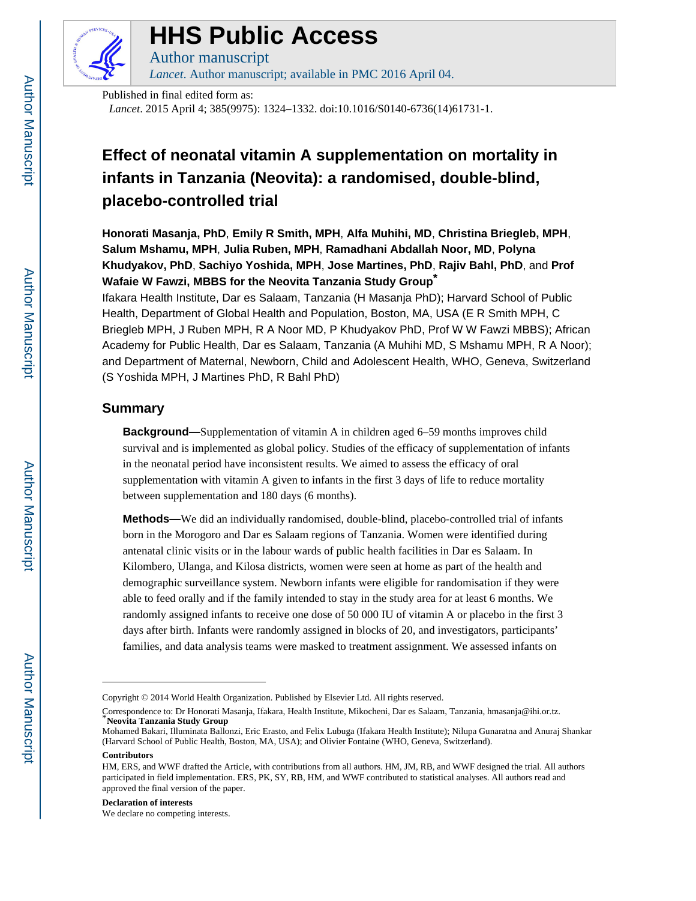

# **HHS Public Access**

Author manuscript *Lancet*. Author manuscript; available in PMC 2016 April 04.

Published in final edited form as: *Lancet*. 2015 April 4; 385(9975): 1324–1332. doi:10.1016/S0140-6736(14)61731-1.

## **Effect of neonatal vitamin A supplementation on mortality in infants in Tanzania (Neovita): a randomised, double-blind, placebo-controlled trial**

**Honorati Masanja, PhD**, **Emily R Smith, MPH**, **Alfa Muhihi, MD**, **Christina Briegleb, MPH**, **Salum Mshamu, MPH**, **Julia Ruben, MPH**, **Ramadhani Abdallah Noor, MD**, **Polyna Khudyakov, PhD**, **Sachiyo Yoshida, MPH**, **Jose Martines, PhD**, **Rajiv Bahl, PhD**, and **Prof Wafaie W Fawzi, MBBS for the Neovita Tanzania Study Group\***

Ifakara Health Institute, Dar es Salaam, Tanzania (H Masanja PhD); Harvard School of Public Health, Department of Global Health and Population, Boston, MA, USA (E R Smith MPH, C Briegleb MPH, J Ruben MPH, R A Noor MD, P Khudyakov PhD, Prof W W Fawzi MBBS); African Academy for Public Health, Dar es Salaam, Tanzania (A Muhihi MD, S Mshamu MPH, R A Noor); and Department of Maternal, Newborn, Child and Adolescent Health, WHO, Geneva, Switzerland (S Yoshida MPH, J Martines PhD, R Bahl PhD)

## **Summary**

**Background—**Supplementation of vitamin A in children aged 6–59 months improves child survival and is implemented as global policy. Studies of the efficacy of supplementation of infants in the neonatal period have inconsistent results. We aimed to assess the efficacy of oral supplementation with vitamin A given to infants in the first 3 days of life to reduce mortality between supplementation and 180 days (6 months).

**Methods—**We did an individually randomised, double-blind, placebo-controlled trial of infants born in the Morogoro and Dar es Salaam regions of Tanzania. Women were identified during antenatal clinic visits or in the labour wards of public health facilities in Dar es Salaam. In Kilombero, Ulanga, and Kilosa districts, women were seen at home as part of the health and demographic surveillance system. Newborn infants were eligible for randomisation if they were able to feed orally and if the family intended to stay in the study area for at least 6 months. We randomly assigned infants to receive one dose of 50 000 IU of vitamin A or placebo in the first 3 days after birth. Infants were randomly assigned in blocks of 20, and investigators, participants' families, and data analysis teams were masked to treatment assignment. We assessed infants on

#### **Contributors**

#### **Declaration of interests**

We declare no competing interests.

Copyright © 2014 World Health Organization. Published by Elsevier Ltd. All rights reserved.

Correspondence to: Dr Honorati Masanja, Ifakara, Health Institute, Mikocheni, Dar es Salaam, Tanzania, hmasanja@ihi.or.tz. \***Neovita Tanzania Study Group**

Mohamed Bakari, Illuminata Ballonzi, Eric Erasto, and Felix Lubuga (Ifakara Health Institute); Nilupa Gunaratna and Anuraj Shankar (Harvard School of Public Health, Boston, MA, USA); and Olivier Fontaine (WHO, Geneva, Switzerland).

HM, ERS, and WWF drafted the Article, with contributions from all authors. HM, JM, RB, and WWF designed the trial. All authors participated in field implementation. ERS, PK, SY, RB, HM, and WWF contributed to statistical analyses. All authors read and approved the final version of the paper.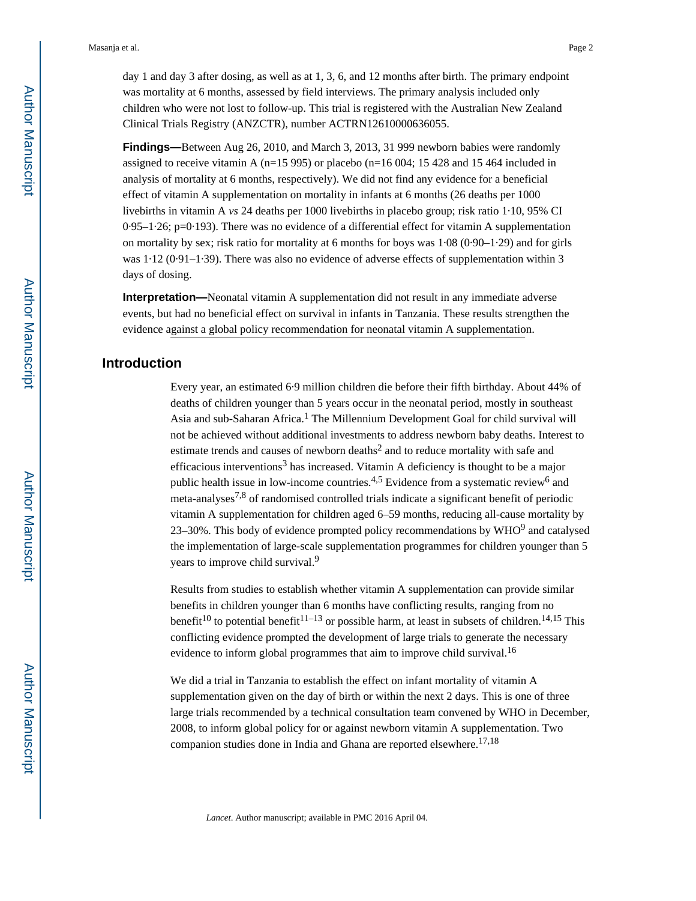day 1 and day 3 after dosing, as well as at 1, 3, 6, and 12 months after birth. The primary endpoint was mortality at 6 months, assessed by field interviews. The primary analysis included only children who were not lost to follow-up. This trial is registered with the Australian New Zealand Clinical Trials Registry (ANZCTR), number ACTRN12610000636055.

**Findings—**Between Aug 26, 2010, and March 3, 2013, 31 999 newborn babies were randomly assigned to receive vitamin A ( $n=15$  995) or placebo ( $n=16004$ ; 15 428 and 15 464 included in analysis of mortality at 6 months, respectively). We did not find any evidence for a beneficial effect of vitamin A supplementation on mortality in infants at 6 months (26 deaths per 1000 livebirths in vitamin A *vs* 24 deaths per 1000 livebirths in placebo group; risk ratio 1·10, 95% CI  $0.95-1.26$ ; p=0.193). There was no evidence of a differential effect for vitamin A supplementation on mortality by sex; risk ratio for mortality at 6 months for boys was 1·08 (0·90–1·29) and for girls was  $1.12$  (0.91–1.39). There was also no evidence of adverse effects of supplementation within 3 days of dosing.

**Interpretation—**Neonatal vitamin A supplementation did not result in any immediate adverse events, but had no beneficial effect on survival in infants in Tanzania. These results strengthen the evidence against a global policy recommendation for neonatal vitamin A supplementation.

## **Introduction**

Every year, an estimated 6·9 million children die before their fifth birthday. About 44% of deaths of children younger than 5 years occur in the neonatal period, mostly in southeast Asia and sub-Saharan Africa.<sup>1</sup> The Millennium Development Goal for child survival will not be achieved without additional investments to address newborn baby deaths. Interest to estimate trends and causes of newborn deaths<sup>2</sup> and to reduce mortality with safe and efficacious interventions<sup>3</sup> has increased. Vitamin A deficiency is thought to be a major public health issue in low-income countries.<sup>4,5</sup> Evidence from a systematic review<sup>6</sup> and meta-analyses<sup>7,8</sup> of randomised controlled trials indicate a significant benefit of periodic vitamin A supplementation for children aged 6–59 months, reducing all-cause mortality by 23–30%. This body of evidence prompted policy recommendations by  $WHO<sup>9</sup>$  and catalysed the implementation of large-scale supplementation programmes for children younger than 5 years to improve child survival.<sup>9</sup>

Results from studies to establish whether vitamin A supplementation can provide similar benefits in children younger than 6 months have conflicting results, ranging from no benefit<sup>10</sup> to potential benefit<sup>11–13</sup> or possible harm, at least in subsets of children.<sup>14,15</sup> This conflicting evidence prompted the development of large trials to generate the necessary evidence to inform global programmes that aim to improve child survival.<sup>16</sup>

We did a trial in Tanzania to establish the effect on infant mortality of vitamin A supplementation given on the day of birth or within the next 2 days. This is one of three large trials recommended by a technical consultation team convened by WHO in December, 2008, to inform global policy for or against newborn vitamin A supplementation. Two companion studies done in India and Ghana are reported elsewhere.<sup>17,18</sup>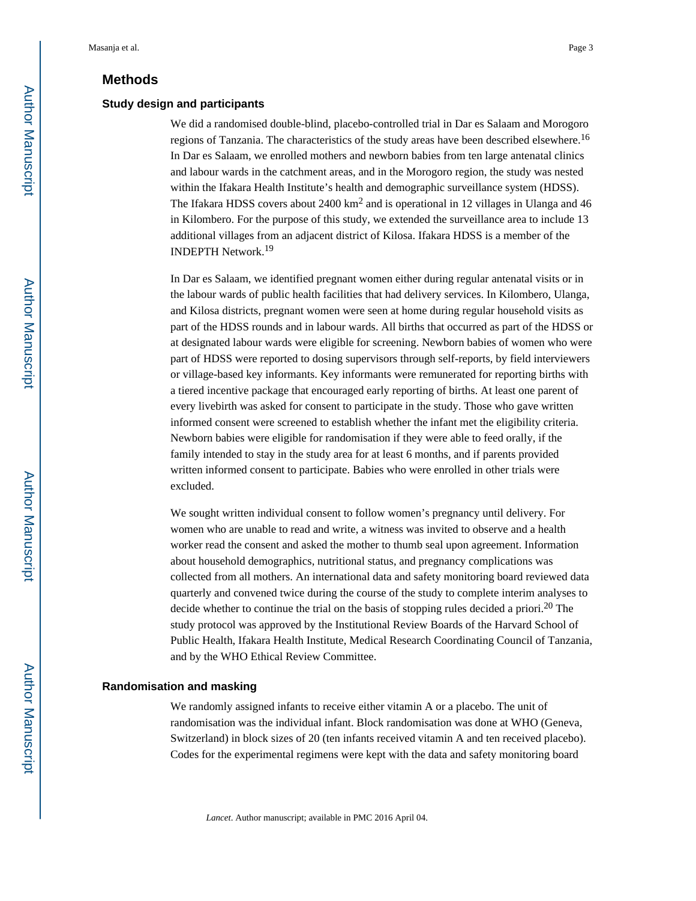## **Methods**

#### **Study design and participants**

We did a randomised double-blind, placebo-controlled trial in Dar es Salaam and Morogoro regions of Tanzania. The characteristics of the study areas have been described elsewhere.<sup>16</sup> In Dar es Salaam, we enrolled mothers and newborn babies from ten large antenatal clinics and labour wards in the catchment areas, and in the Morogoro region, the study was nested within the Ifakara Health Institute's health and demographic surveillance system (HDSS). The Ifakara HDSS covers about 2400 km<sup>2</sup> and is operational in 12 villages in Ulanga and 46 in Kilombero. For the purpose of this study, we extended the surveillance area to include 13 additional villages from an adjacent district of Kilosa. Ifakara HDSS is a member of the INDEPTH Network.<sup>19</sup>

In Dar es Salaam, we identified pregnant women either during regular antenatal visits or in the labour wards of public health facilities that had delivery services. In Kilombero, Ulanga, and Kilosa districts, pregnant women were seen at home during regular household visits as part of the HDSS rounds and in labour wards. All births that occurred as part of the HDSS or at designated labour wards were eligible for screening. Newborn babies of women who were part of HDSS were reported to dosing supervisors through self-reports, by field interviewers or village-based key informants. Key informants were remunerated for reporting births with a tiered incentive package that encouraged early reporting of births. At least one parent of every livebirth was asked for consent to participate in the study. Those who gave written informed consent were screened to establish whether the infant met the eligibility criteria. Newborn babies were eligible for randomisation if they were able to feed orally, if the family intended to stay in the study area for at least 6 months, and if parents provided written informed consent to participate. Babies who were enrolled in other trials were excluded.

We sought written individual consent to follow women's pregnancy until delivery. For women who are unable to read and write, a witness was invited to observe and a health worker read the consent and asked the mother to thumb seal upon agreement. Information about household demographics, nutritional status, and pregnancy complications was collected from all mothers. An international data and safety monitoring board reviewed data quarterly and convened twice during the course of the study to complete interim analyses to decide whether to continue the trial on the basis of stopping rules decided a priori.<sup>20</sup> The study protocol was approved by the Institutional Review Boards of the Harvard School of Public Health, Ifakara Health Institute, Medical Research Coordinating Council of Tanzania, and by the WHO Ethical Review Committee.

#### **Randomisation and masking**

We randomly assigned infants to receive either vitamin A or a placebo. The unit of randomisation was the individual infant. Block randomisation was done at WHO (Geneva, Switzerland) in block sizes of 20 (ten infants received vitamin A and ten received placebo). Codes for the experimental regimens were kept with the data and safety monitoring board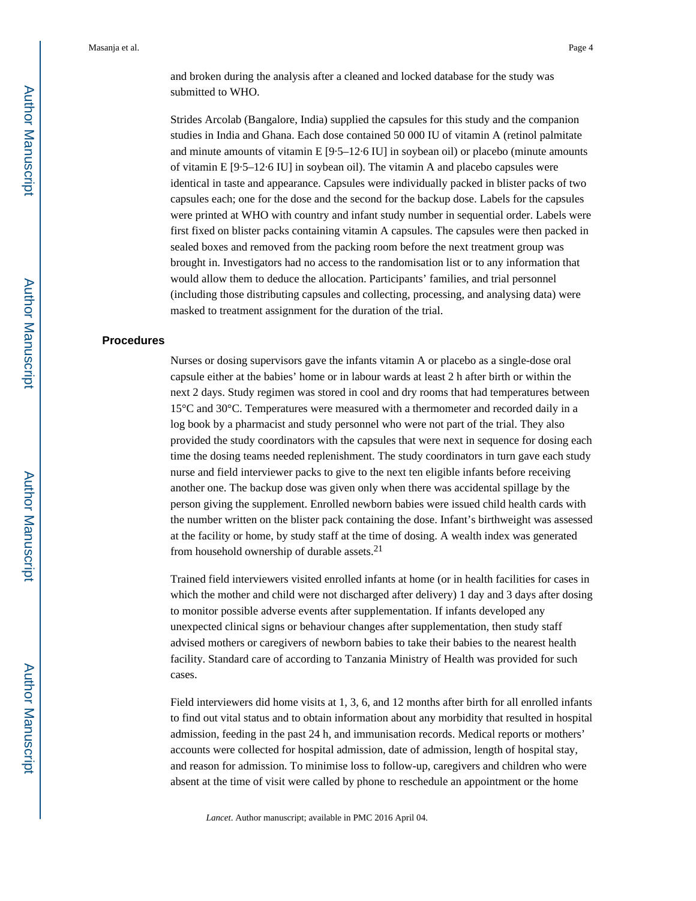Strides Arcolab (Bangalore, India) supplied the capsules for this study and the companion studies in India and Ghana. Each dose contained 50 000 IU of vitamin A (retinol palmitate and minute amounts of vitamin E [9·5–12·6 IU] in soybean oil) or placebo (minute amounts of vitamin E [9·5–12·6 IU] in soybean oil). The vitamin A and placebo capsules were identical in taste and appearance. Capsules were individually packed in blister packs of two capsules each; one for the dose and the second for the backup dose. Labels for the capsules were printed at WHO with country and infant study number in sequential order. Labels were first fixed on blister packs containing vitamin A capsules. The capsules were then packed in sealed boxes and removed from the packing room before the next treatment group was brought in. Investigators had no access to the randomisation list or to any information that would allow them to deduce the allocation. Participants' families, and trial personnel (including those distributing capsules and collecting, processing, and analysing data) were masked to treatment assignment for the duration of the trial.

## **Procedures**

Nurses or dosing supervisors gave the infants vitamin A or placebo as a single-dose oral capsule either at the babies' home or in labour wards at least 2 h after birth or within the next 2 days. Study regimen was stored in cool and dry rooms that had temperatures between 15°C and 30°C. Temperatures were measured with a thermometer and recorded daily in a log book by a pharmacist and study personnel who were not part of the trial. They also provided the study coordinators with the capsules that were next in sequence for dosing each time the dosing teams needed replenishment. The study coordinators in turn gave each study nurse and field interviewer packs to give to the next ten eligible infants before receiving another one. The backup dose was given only when there was accidental spillage by the person giving the supplement. Enrolled newborn babies were issued child health cards with the number written on the blister pack containing the dose. Infant's birthweight was assessed at the facility or home, by study staff at the time of dosing. A wealth index was generated from household ownership of durable assets.<sup>21</sup>

Trained field interviewers visited enrolled infants at home (or in health facilities for cases in which the mother and child were not discharged after delivery) 1 day and 3 days after dosing to monitor possible adverse events after supplementation. If infants developed any unexpected clinical signs or behaviour changes after supplementation, then study staff advised mothers or caregivers of newborn babies to take their babies to the nearest health facility. Standard care of according to Tanzania Ministry of Health was provided for such cases.

Field interviewers did home visits at 1, 3, 6, and 12 months after birth for all enrolled infants to find out vital status and to obtain information about any morbidity that resulted in hospital admission, feeding in the past 24 h, and immunisation records. Medical reports or mothers' accounts were collected for hospital admission, date of admission, length of hospital stay, and reason for admission. To minimise loss to follow-up, caregivers and children who were absent at the time of visit were called by phone to reschedule an appointment or the home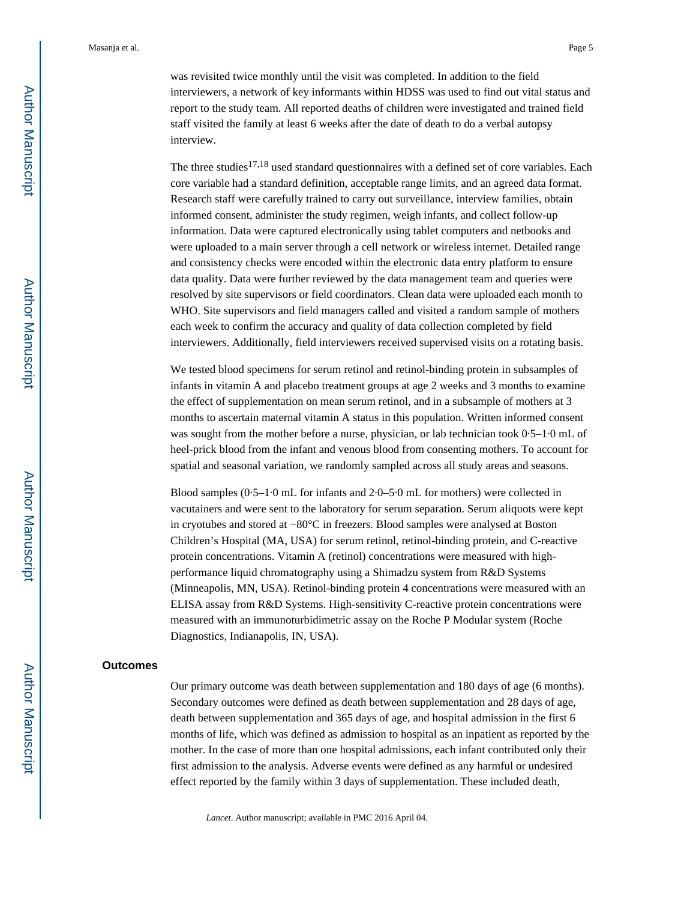The three studies<sup>17,18</sup> used standard questionnaires with a defined set of core variables. Each core variable had a standard definition, acceptable range limits, and an agreed data format. Research staff were carefully trained to carry out surveillance, interview families, obtain informed consent, administer the study regimen, weigh infants, and collect follow-up information. Data were captured electronically using tablet computers and netbooks and were uploaded to a main server through a cell network or wireless internet. Detailed range and consistency checks were encoded within the electronic data entry platform to ensure data quality. Data were further reviewed by the data management team and queries were resolved by site supervisors or field coordinators. Clean data were uploaded each month to WHO. Site supervisors and field managers called and visited a random sample of mothers each week to confirm the accuracy and quality of data collection completed by field interviewers. Additionally, field interviewers received supervised visits on a rotating basis.

We tested blood specimens for serum retinol and retinol-binding protein in subsamples of infants in vitamin A and placebo treatment groups at age 2 weeks and 3 months to examine the effect of supplementation on mean serum retinol, and in a subsample of mothers at 3 months to ascertain maternal vitamin A status in this population. Written informed consent was sought from the mother before a nurse, physician, or lab technician took  $0.5-1.0$  mL of heel-prick blood from the infant and venous blood from consenting mothers. To account for spatial and seasonal variation, we randomly sampled across all study areas and seasons.

Blood samples (0·5–1·0 mL for infants and 2·0–5·0 mL for mothers) were collected in vacutainers and were sent to the laboratory for serum separation. Serum aliquots were kept in cryotubes and stored at −80°C in freezers. Blood samples were analysed at Boston Children's Hospital (MA, USA) for serum retinol, retinol-binding protein, and C-reactive protein concentrations. Vitamin A (retinol) concentrations were measured with highperformance liquid chromatography using a Shimadzu system from R&D Systems (Minneapolis, MN, USA). Retinol-binding protein 4 concentrations were measured with an ELISA assay from R&D Systems. High-sensitivity C-reactive protein concentrations were measured with an immunoturbidimetric assay on the Roche P Modular system (Roche Diagnostics, Indianapolis, IN, USA).

#### **Outcomes**

Our primary outcome was death between supplementation and 180 days of age (6 months). Secondary outcomes were defined as death between supplementation and 28 days of age, death between supplementation and 365 days of age, and hospital admission in the first 6 months of life, which was defined as admission to hospital as an inpatient as reported by the mother. In the case of more than one hospital admissions, each infant contributed only their first admission to the analysis. Adverse events were defined as any harmful or undesired effect reported by the family within 3 days of supplementation. These included death,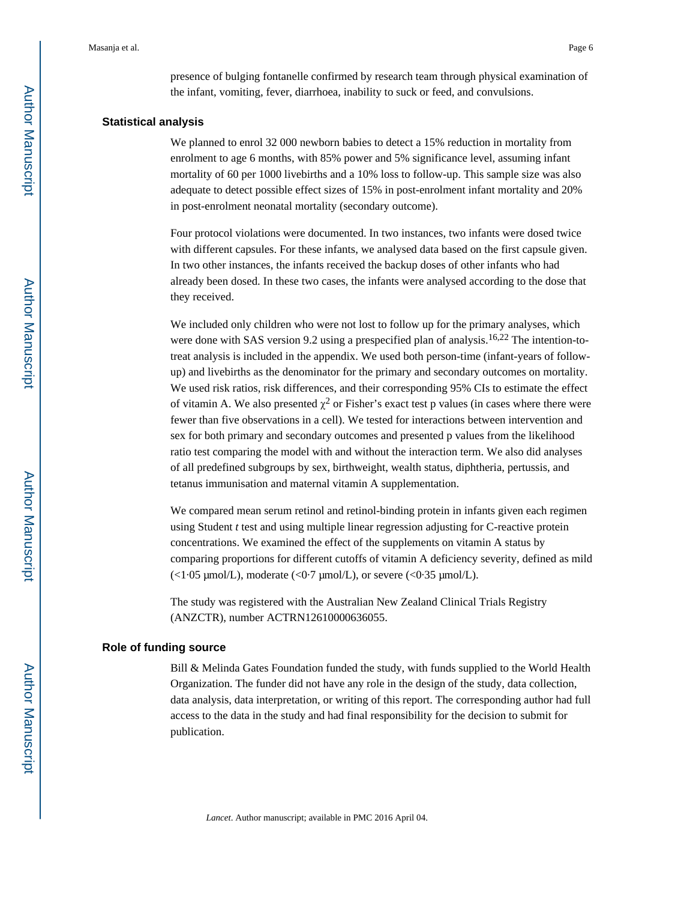presence of bulging fontanelle confirmed by research team through physical examination of the infant, vomiting, fever, diarrhoea, inability to suck or feed, and convulsions.

#### **Statistical analysis**

We planned to enrol 32 000 newborn babies to detect a 15% reduction in mortality from enrolment to age 6 months, with 85% power and 5% significance level, assuming infant mortality of 60 per 1000 livebirths and a 10% loss to follow-up. This sample size was also adequate to detect possible effect sizes of 15% in post-enrolment infant mortality and 20% in post-enrolment neonatal mortality (secondary outcome).

Four protocol violations were documented. In two instances, two infants were dosed twice with different capsules. For these infants, we analysed data based on the first capsule given. In two other instances, the infants received the backup doses of other infants who had already been dosed. In these two cases, the infants were analysed according to the dose that they received.

We included only children who were not lost to follow up for the primary analyses, which were done with SAS version 9.2 using a prespecified plan of analysis.<sup>16,22</sup> The intention-totreat analysis is included in the appendix. We used both person-time (infant-years of followup) and livebirths as the denominator for the primary and secondary outcomes on mortality. We used risk ratios, risk differences, and their corresponding 95% CIs to estimate the effect of vitamin A. We also presented  $\chi^2$  or Fisher's exact test p values (in cases where there were fewer than five observations in a cell). We tested for interactions between intervention and sex for both primary and secondary outcomes and presented p values from the likelihood ratio test comparing the model with and without the interaction term. We also did analyses of all predefined subgroups by sex, birthweight, wealth status, diphtheria, pertussis, and tetanus immunisation and maternal vitamin A supplementation.

We compared mean serum retinol and retinol-binding protein in infants given each regimen using Student *t* test and using multiple linear regression adjusting for C-reactive protein concentrations. We examined the effect of the supplements on vitamin A status by comparing proportions for different cutoffs of vitamin A deficiency severity, defined as mild ( $\lt$ 1.05  $\mu$ mol/L), moderate ( $\lt$ 0.7  $\mu$ mol/L), or severe ( $\lt$ 0.35  $\mu$ mol/L).

The study was registered with the Australian New Zealand Clinical Trials Registry (ANZCTR), number ACTRN12610000636055.

#### **Role of funding source**

Bill & Melinda Gates Foundation funded the study, with funds supplied to the World Health Organization. The funder did not have any role in the design of the study, data collection, data analysis, data interpretation, or writing of this report. The corresponding author had full access to the data in the study and had final responsibility for the decision to submit for publication.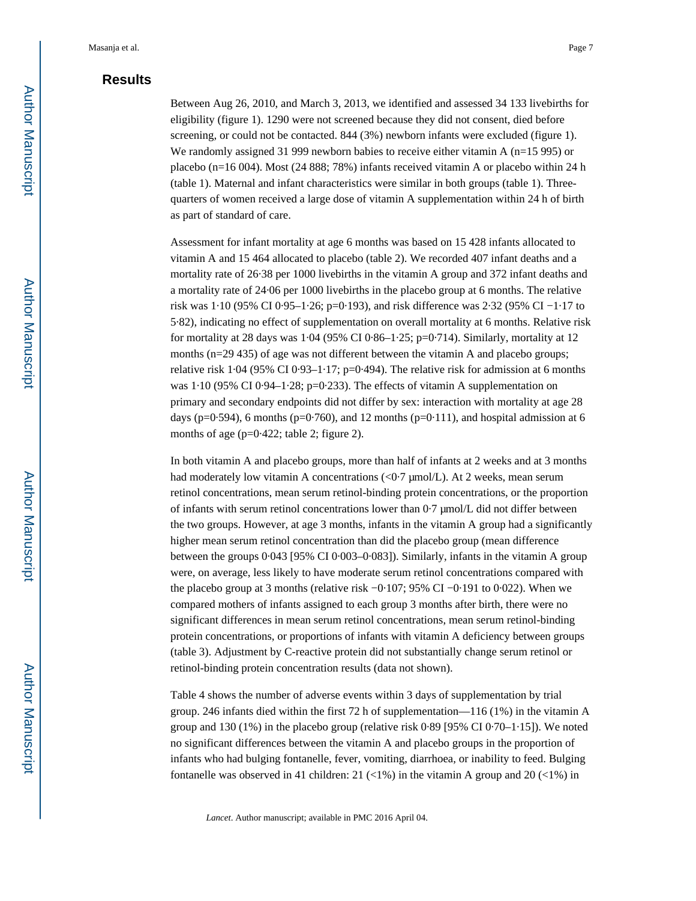## **Results**

Between Aug 26, 2010, and March 3, 2013, we identified and assessed 34 133 livebirths for eligibility (figure 1). 1290 were not screened because they did not consent, died before screening, or could not be contacted. 844 (3%) newborn infants were excluded (figure 1). We randomly assigned 31 999 newborn babies to receive either vitamin A (n=15 995) or placebo (n=16 004). Most (24 888; 78%) infants received vitamin A or placebo within 24 h (table 1). Maternal and infant characteristics were similar in both groups (table 1). Threequarters of women received a large dose of vitamin A supplementation within 24 h of birth as part of standard of care.

Assessment for infant mortality at age 6 months was based on 15 428 infants allocated to vitamin A and 15 464 allocated to placebo (table 2). We recorded 407 infant deaths and a mortality rate of 26·38 per 1000 livebirths in the vitamin A group and 372 infant deaths and a mortality rate of 24·06 per 1000 livebirths in the placebo group at 6 months. The relative risk was 1·10 (95% CI 0·95–1·26; p=0·193), and risk difference was 2·32 (95% CI −1·17 to 5·82), indicating no effect of supplementation on overall mortality at 6 months. Relative risk for mortality at 28 days was  $1.04$  (95% CI 0·86-1·25; p=0·714). Similarly, mortality at 12 months (n=29 435) of age was not different between the vitamin A and placebo groups; relative risk 1·04 (95% CI 0·93–1·17; p=0·494). The relative risk for admission at 6 months was  $1.10$  (95% CI 0.94–1.28; p=0.233). The effects of vitamin A supplementation on primary and secondary endpoints did not differ by sex: interaction with mortality at age 28 days ( $p=0.594$ ), 6 months ( $p=0.760$ ), and 12 months ( $p=0.111$ ), and hospital admission at 6 months of age (p=0.422; table 2; figure 2).

In both vitamin A and placebo groups, more than half of infants at 2 weeks and at 3 months had moderately low vitamin A concentrations ( $\langle 0.7 \mu \text{mol/L} \rangle$ ). At 2 weeks, mean serum retinol concentrations, mean serum retinol-binding protein concentrations, or the proportion of infants with serum retinol concentrations lower than 0·7 μmol/L did not differ between the two groups. However, at age 3 months, infants in the vitamin A group had a significantly higher mean serum retinol concentration than did the placebo group (mean difference between the groups 0·043 [95% CI 0·003–0·083]). Similarly, infants in the vitamin A group were, on average, less likely to have moderate serum retinol concentrations compared with the placebo group at 3 months (relative risk  $-0.107$ ; 95% CI $-0.191$  to 0 $0.022$ ). When we compared mothers of infants assigned to each group 3 months after birth, there were no significant differences in mean serum retinol concentrations, mean serum retinol-binding protein concentrations, or proportions of infants with vitamin A deficiency between groups (table 3). Adjustment by C-reactive protein did not substantially change serum retinol or retinol-binding protein concentration results (data not shown).

Table 4 shows the number of adverse events within 3 days of supplementation by trial group. 246 infants died within the first 72 h of supplementation—116 (1%) in the vitamin A group and  $130 (1\%)$  in the placebo group (relative risk 0.89 [95% CI 0.70–1.15]). We noted no significant differences between the vitamin A and placebo groups in the proportion of infants who had bulging fontanelle, fever, vomiting, diarrhoea, or inability to feed. Bulging fontanelle was observed in 41 children: 21  $(\langle 1\% \rangle)$  in the vitamin A group and 20  $(\langle 1\% \rangle)$  in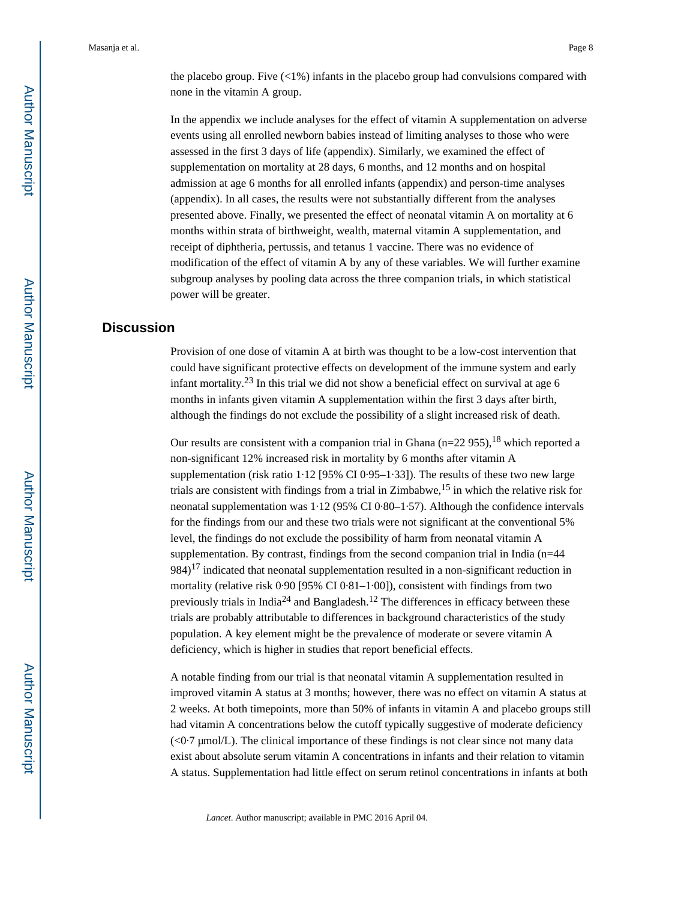In the appendix we include analyses for the effect of vitamin A supplementation on adverse events using all enrolled newborn babies instead of limiting analyses to those who were assessed in the first 3 days of life (appendix). Similarly, we examined the effect of supplementation on mortality at 28 days, 6 months, and 12 months and on hospital admission at age 6 months for all enrolled infants (appendix) and person-time analyses (appendix). In all cases, the results were not substantially different from the analyses presented above. Finally, we presented the effect of neonatal vitamin A on mortality at 6 months within strata of birthweight, wealth, maternal vitamin A supplementation, and receipt of diphtheria, pertussis, and tetanus 1 vaccine. There was no evidence of modification of the effect of vitamin A by any of these variables. We will further examine subgroup analyses by pooling data across the three companion trials, in which statistical power will be greater.

## **Discussion**

Provision of one dose of vitamin A at birth was thought to be a low-cost intervention that could have significant protective effects on development of the immune system and early infant mortality.<sup>23</sup> In this trial we did not show a beneficial effect on survival at age 6 months in infants given vitamin A supplementation within the first 3 days after birth, although the findings do not exclude the possibility of a slight increased risk of death.

Our results are consistent with a companion trial in Ghana  $(n=22 955)$ , <sup>18</sup> which reported a non-significant 12% increased risk in mortality by 6 months after vitamin A supplementation (risk ratio 1·12 [95% CI 0·95–1·33]). The results of these two new large trials are consistent with findings from a trial in Zimbabwe,15 in which the relative risk for neonatal supplementation was 1·12 (95% CI 0·80–1·57). Although the confidence intervals for the findings from our and these two trials were not significant at the conventional 5% level, the findings do not exclude the possibility of harm from neonatal vitamin A supplementation. By contrast, findings from the second companion trial in India (n=44 984)17 indicated that neonatal supplementation resulted in a non-significant reduction in mortality (relative risk 0·90 [95% CI 0·81–1·00]), consistent with findings from two previously trials in India<sup>24</sup> and Bangladesh.<sup>12</sup> The differences in efficacy between these trials are probably attributable to differences in background characteristics of the study population. A key element might be the prevalence of moderate or severe vitamin A deficiency, which is higher in studies that report beneficial effects.

A notable finding from our trial is that neonatal vitamin A supplementation resulted in improved vitamin A status at 3 months; however, there was no effect on vitamin A status at 2 weeks. At both timepoints, more than 50% of infants in vitamin A and placebo groups still had vitamin A concentrations below the cutoff typically suggestive of moderate deficiency  $\left($  <0.7  $\mu$ mol/L). The clinical importance of these findings is not clear since not many data exist about absolute serum vitamin A concentrations in infants and their relation to vitamin A status. Supplementation had little effect on serum retinol concentrations in infants at both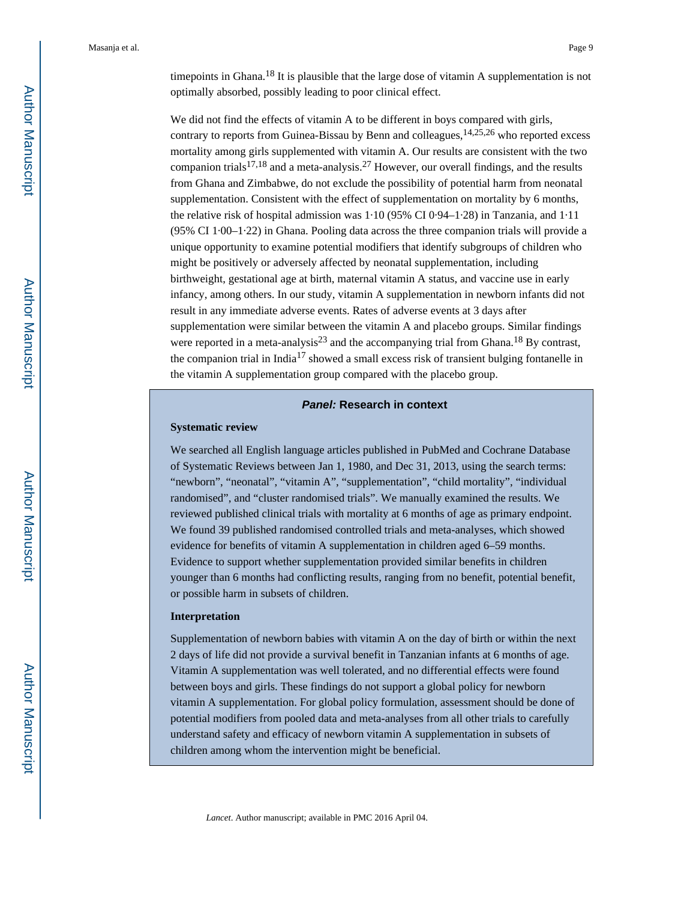timepoints in Ghana.<sup>18</sup> It is plausible that the large dose of vitamin A supplementation is not optimally absorbed, possibly leading to poor clinical effect.

We did not find the effects of vitamin A to be different in boys compared with girls, contrary to reports from Guinea-Bissau by Benn and colleagues,  $14,25,26$  who reported excess mortality among girls supplemented with vitamin A. Our results are consistent with the two companion trials<sup>17,18</sup> and a meta-analysis.<sup>27</sup> However, our overall findings, and the results from Ghana and Zimbabwe, do not exclude the possibility of potential harm from neonatal supplementation. Consistent with the effect of supplementation on mortality by 6 months, the relative risk of hospital admission was 1·10 (95% CI 0·94–1·28) in Tanzania, and 1·11 (95% CI 1·00–1·22) in Ghana. Pooling data across the three companion trials will provide a unique opportunity to examine potential modifiers that identify subgroups of children who might be positively or adversely affected by neonatal supplementation, including birthweight, gestational age at birth, maternal vitamin A status, and vaccine use in early infancy, among others. In our study, vitamin A supplementation in newborn infants did not result in any immediate adverse events. Rates of adverse events at 3 days after supplementation were similar between the vitamin A and placebo groups. Similar findings were reported in a meta-analysis<sup>23</sup> and the accompanying trial from Ghana.<sup>18</sup> By contrast, the companion trial in  $India^{17}$  showed a small excess risk of transient bulging fontanelle in the vitamin A supplementation group compared with the placebo group.

#### **Panel: Research in context**

#### **Systematic review**

We searched all English language articles published in PubMed and Cochrane Database of Systematic Reviews between Jan 1, 1980, and Dec 31, 2013, using the search terms: "newborn", "neonatal", "vitamin A", "supplementation", "child mortality", "individual randomised", and "cluster randomised trials". We manually examined the results. We reviewed published clinical trials with mortality at 6 months of age as primary endpoint. We found 39 published randomised controlled trials and meta-analyses, which showed evidence for benefits of vitamin A supplementation in children aged 6–59 months. Evidence to support whether supplementation provided similar benefits in children younger than 6 months had conflicting results, ranging from no benefit, potential benefit, or possible harm in subsets of children.

#### **Interpretation**

Supplementation of newborn babies with vitamin A on the day of birth or within the next 2 days of life did not provide a survival benefit in Tanzanian infants at 6 months of age. Vitamin A supplementation was well tolerated, and no differential effects were found between boys and girls. These findings do not support a global policy for newborn vitamin A supplementation. For global policy formulation, assessment should be done of potential modifiers from pooled data and meta-analyses from all other trials to carefully understand safety and efficacy of newborn vitamin A supplementation in subsets of children among whom the intervention might be beneficial.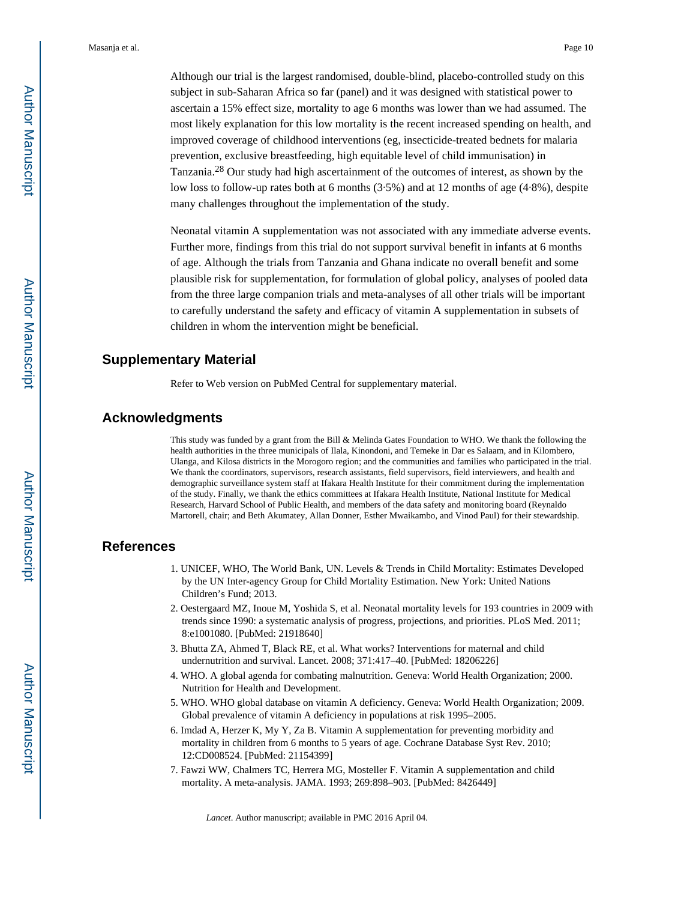Although our trial is the largest randomised, double-blind, placebo-controlled study on this subject in sub-Saharan Africa so far (panel) and it was designed with statistical power to ascertain a 15% effect size, mortality to age 6 months was lower than we had assumed. The most likely explanation for this low mortality is the recent increased spending on health, and improved coverage of childhood interventions (eg, insecticide-treated bednets for malaria prevention, exclusive breastfeeding, high equitable level of child immunisation) in Tanzania.28 Our study had high ascertainment of the outcomes of interest, as shown by the low loss to follow-up rates both at 6 months (3·5%) and at 12 months of age (4·8%), despite many challenges throughout the implementation of the study.

Neonatal vitamin A supplementation was not associated with any immediate adverse events. Further more, findings from this trial do not support survival benefit in infants at 6 months of age. Although the trials from Tanzania and Ghana indicate no overall benefit and some plausible risk for supplementation, for formulation of global policy, analyses of pooled data from the three large companion trials and meta-analyses of all other trials will be important to carefully understand the safety and efficacy of vitamin A supplementation in subsets of children in whom the intervention might be beneficial.

## **Supplementary Material**

Refer to Web version on PubMed Central for supplementary material.

## **Acknowledgments**

This study was funded by a grant from the Bill & Melinda Gates Foundation to WHO. We thank the following the health authorities in the three municipals of Ilala, Kinondoni, and Temeke in Dar es Salaam, and in Kilombero, Ulanga, and Kilosa districts in the Morogoro region; and the communities and families who participated in the trial. We thank the coordinators, supervisors, research assistants, field supervisors, field interviewers, and health and demographic surveillance system staff at Ifakara Health Institute for their commitment during the implementation of the study. Finally, we thank the ethics committees at Ifakara Health Institute, National Institute for Medical Research, Harvard School of Public Health, and members of the data safety and monitoring board (Reynaldo Martorell, chair; and Beth Akumatey, Allan Donner, Esther Mwaikambo, and Vinod Paul) for their stewardship.

## **References**

- 1. UNICEF, WHO, The World Bank, UN. Levels & Trends in Child Mortality: Estimates Developed by the UN Inter-agency Group for Child Mortality Estimation. New York: United Nations Children's Fund; 2013.
- 2. Oestergaard MZ, Inoue M, Yoshida S, et al. Neonatal mortality levels for 193 countries in 2009 with trends since 1990: a systematic analysis of progress, projections, and priorities. PLoS Med. 2011; 8:e1001080. [PubMed: 21918640]
- 3. Bhutta ZA, Ahmed T, Black RE, et al. What works? Interventions for maternal and child undernutrition and survival. Lancet. 2008; 371:417–40. [PubMed: 18206226]
- 4. WHO. A global agenda for combating malnutrition. Geneva: World Health Organization; 2000. Nutrition for Health and Development.
- 5. WHO. WHO global database on vitamin A deficiency. Geneva: World Health Organization; 2009. Global prevalence of vitamin A deficiency in populations at risk 1995–2005.
- 6. Imdad A, Herzer K, My Y, Za B. Vitamin A supplementation for preventing morbidity and mortality in children from 6 months to 5 years of age. Cochrane Database Syst Rev. 2010; 12:CD008524. [PubMed: 21154399]
- 7. Fawzi WW, Chalmers TC, Herrera MG, Mosteller F. Vitamin A supplementation and child mortality. A meta-analysis. JAMA. 1993; 269:898–903. [PubMed: 8426449]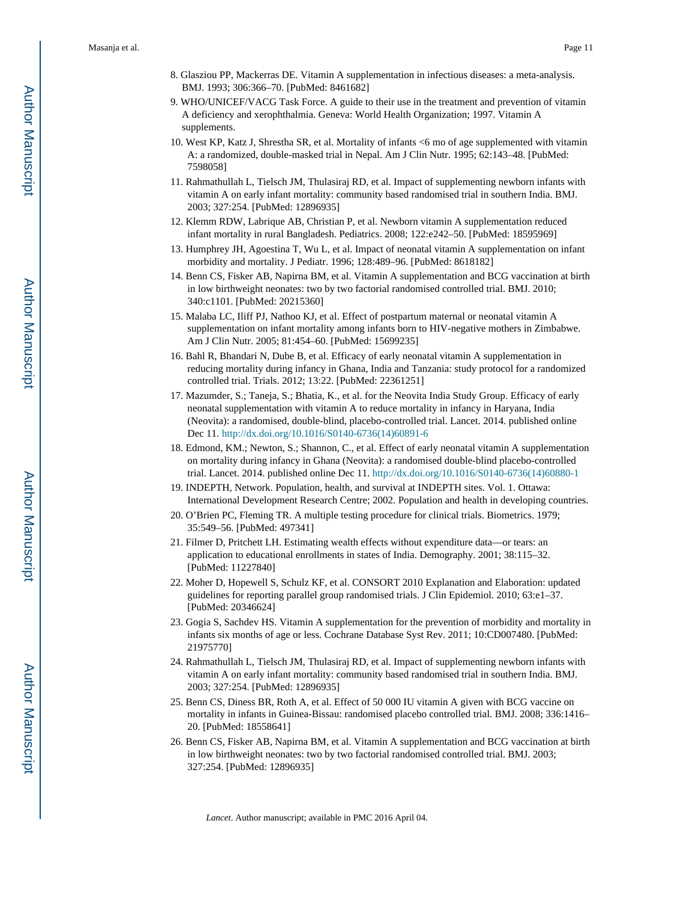- 8. Glasziou PP, Mackerras DE. Vitamin A supplementation in infectious diseases: a meta-analysis. BMJ. 1993; 306:366–70. [PubMed: 8461682]
- 9. WHO/UNICEF/VACG Task Force. A guide to their use in the treatment and prevention of vitamin A deficiency and xerophthalmia. Geneva: World Health Organization; 1997. Vitamin A supplements.
- 10. West KP, Katz J, Shrestha SR, et al. Mortality of infants <6 mo of age supplemented with vitamin A: a randomized, double-masked trial in Nepal. Am J Clin Nutr. 1995; 62:143–48. [PubMed: 7598058]
- 11. Rahmathullah L, Tielsch JM, Thulasiraj RD, et al. Impact of supplementing newborn infants with vitamin A on early infant mortality: community based randomised trial in southern India. BMJ. 2003; 327:254. [PubMed: 12896935]
- 12. Klemm RDW, Labrique AB, Christian P, et al. Newborn vitamin A supplementation reduced infant mortality in rural Bangladesh. Pediatrics. 2008; 122:e242–50. [PubMed: 18595969]
- 13. Humphrey JH, Agoestina T, Wu L, et al. Impact of neonatal vitamin A supplementation on infant morbidity and mortality. J Pediatr. 1996; 128:489–96. [PubMed: 8618182]
- 14. Benn CS, Fisker AB, Napirna BM, et al. Vitamin A supplementation and BCG vaccination at birth in low birthweight neonates: two by two factorial randomised controlled trial. BMJ. 2010; 340:c1101. [PubMed: 20215360]
- 15. Malaba LC, Iliff PJ, Nathoo KJ, et al. Effect of postpartum maternal or neonatal vitamin A supplementation on infant mortality among infants born to HIV-negative mothers in Zimbabwe. Am J Clin Nutr. 2005; 81:454–60. [PubMed: 15699235]
- 16. Bahl R, Bhandari N, Dube B, et al. Efficacy of early neonatal vitamin A supplementation in reducing mortality during infancy in Ghana, India and Tanzania: study protocol for a randomized controlled trial. Trials. 2012; 13:22. [PubMed: 22361251]
- 17. Mazumder, S.; Taneja, S.; Bhatia, K., et al. for the Neovita India Study Group. Efficacy of early neonatal supplementation with vitamin A to reduce mortality in infancy in Haryana, India (Neovita): a randomised, double-blind, placebo-controlled trial. Lancet. 2014. published online Dec 11. [http://dx.doi.org/10.1016/S0140-6736\(14\)60891-6](http://dx.doi.org/10.1016/S0140-6736(14)60891-6)
- 18. Edmond, KM.; Newton, S.; Shannon, C., et al. Effect of early neonatal vitamin A supplementation on mortality during infancy in Ghana (Neovita): a randomised double-blind placebo-controlled trial. Lancet. 2014. published online Dec 11. [http://dx.doi.org/10.1016/S0140-6736\(14\)60880-1](http://dx.doi.org/10.1016/S0140-6736(14)60880-1)
- 19. INDEPTH, Network. Population, health, and survival at INDEPTH sites. Vol. 1. Ottawa: International Development Research Centre; 2002. Population and health in developing countries.
- 20. O'Brien PC, Fleming TR. A multiple testing procedure for clinical trials. Biometrics. 1979; 35:549–56. [PubMed: 497341]
- 21. Filmer D, Pritchett LH. Estimating wealth effects without expenditure data—or tears: an application to educational enrollments in states of India. Demography. 2001; 38:115–32. [PubMed: 11227840]
- 22. Moher D, Hopewell S, Schulz KF, et al. CONSORT 2010 Explanation and Elaboration: updated guidelines for reporting parallel group randomised trials. J Clin Epidemiol. 2010; 63:e1–37. [PubMed: 20346624]
- 23. Gogia S, Sachdev HS. Vitamin A supplementation for the prevention of morbidity and mortality in infants six months of age or less. Cochrane Database Syst Rev. 2011; 10:CD007480. [PubMed: 21975770]
- 24. Rahmathullah L, Tielsch JM, Thulasiraj RD, et al. Impact of supplementing newborn infants with vitamin A on early infant mortality: community based randomised trial in southern India. BMJ. 2003; 327:254. [PubMed: 12896935]
- 25. Benn CS, Diness BR, Roth A, et al. Effect of 50 000 IU vitamin A given with BCG vaccine on mortality in infants in Guinea-Bissau: randomised placebo controlled trial. BMJ. 2008; 336:1416– 20. [PubMed: 18558641]
- 26. Benn CS, Fisker AB, Napirna BM, et al. Vitamin A supplementation and BCG vaccination at birth in low birthweight neonates: two by two factorial randomised controlled trial. BMJ. 2003; 327:254. [PubMed: 12896935]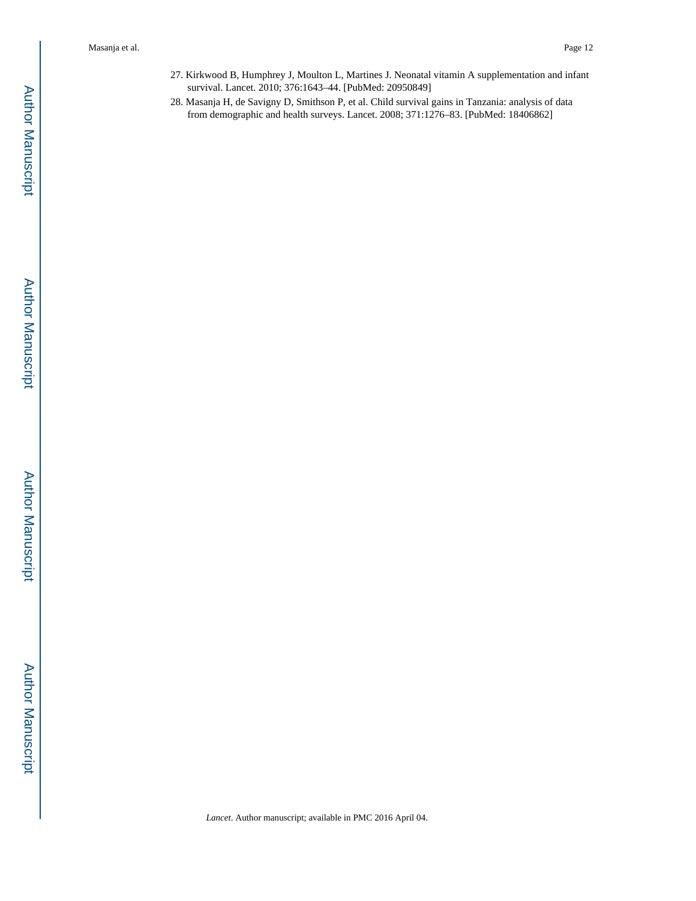- 27. Kirkwood B, Humphrey J, Moulton L, Martines J. Neonatal vitamin A supplementation and infant survival. Lancet. 2010; 376:1643–44. [PubMed: 20950849]
- 28. Masanja H, de Savigny D, Smithson P, et al. Child survival gains in Tanzania: analysis of data from demographic and health surveys. Lancet. 2008; 371:1276–83. [PubMed: 18406862]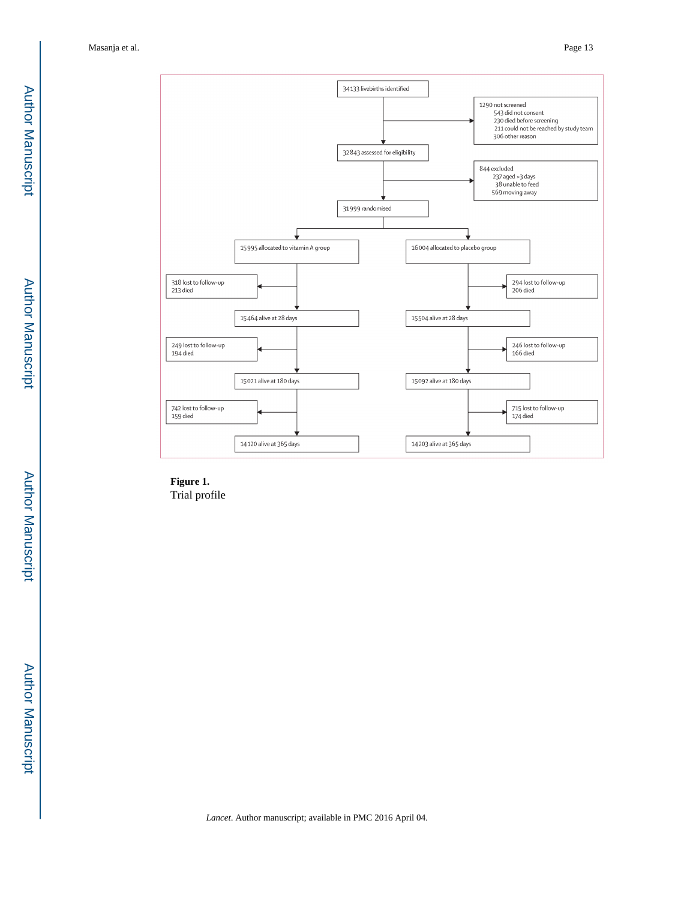

**Figure 1.**  Trial profile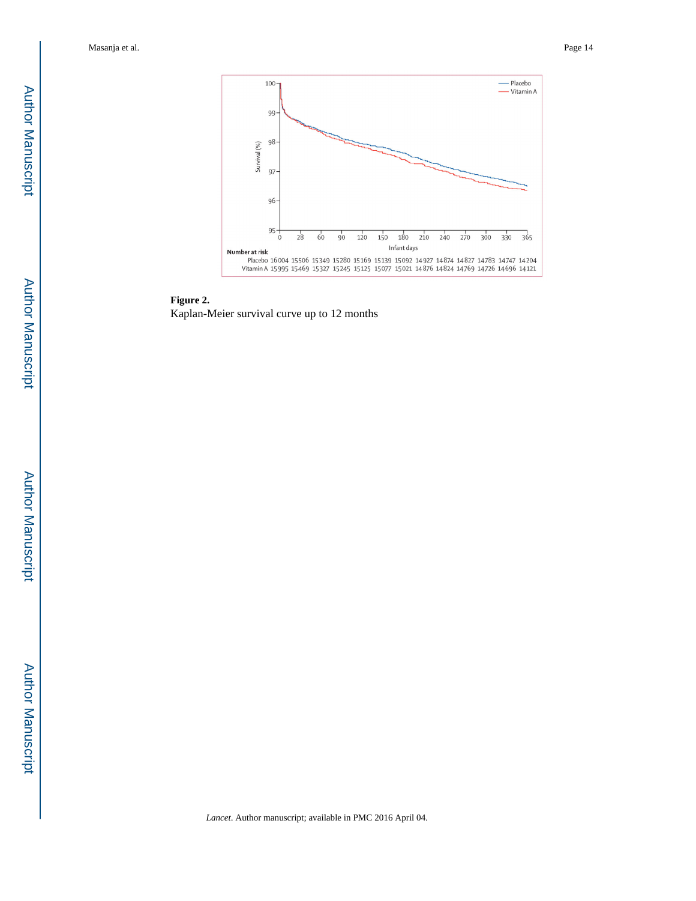



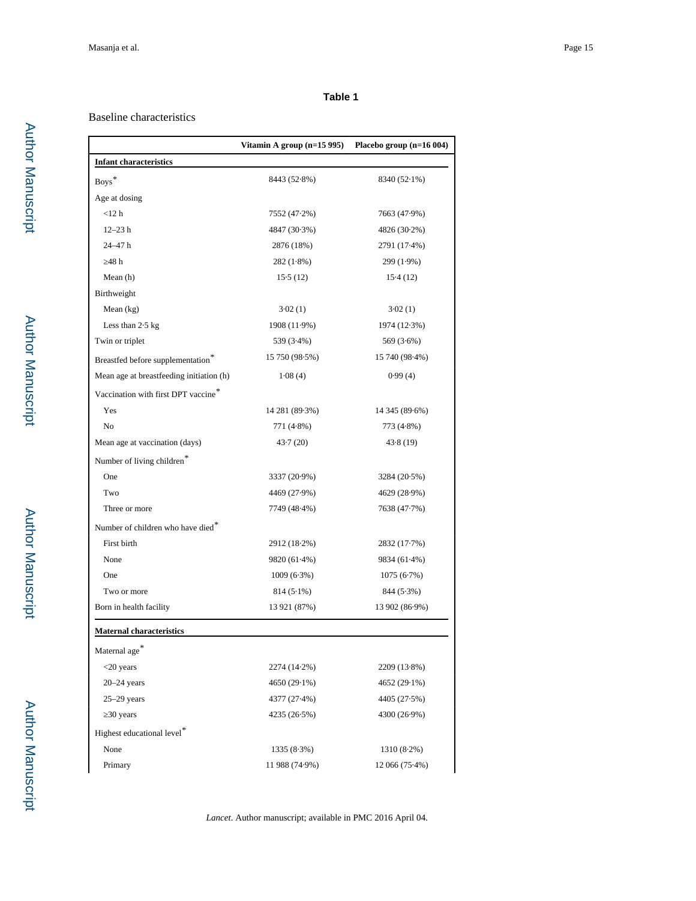## **Table 1**

## Baseline characteristics

|                                               | Vitamin A group $(n=15 995)$ | Placebo group $(n=16004)$ |
|-----------------------------------------------|------------------------------|---------------------------|
| <b>Infant characteristics</b>                 |                              |                           |
| Boys*                                         | 8443 (52.8%)                 | 8340 (52.1%)              |
| Age at dosing                                 |                              |                           |
| $<$ 12 $h$                                    | 7552 (47.2%)                 | 7663 (47.9%)              |
| $12 - 23h$                                    | 4847 (30.3%)                 | 4826 (30.2%)              |
| 24-47h                                        | 2876 (18%)                   | 2791 (17-4%)              |
| 48h                                           | $282(1.8\%)$                 | 299 (1.9%)                |
| Mean (h)                                      | 15.5(12)                     | 15.4(12)                  |
| Birthweight                                   |                              |                           |
| Mean $(kg)$                                   | 3.02(1)                      | 3.02(1)                   |
| Less than 2.5 kg                              | 1908 (11.9%)                 | 1974 (12.3%)              |
| Twin or triplet                               | 539 (3.4%)                   | 569 (3.6%)                |
| Breastfed before supplementation <sup>*</sup> | 15 750 (98.5%)               | 15 740 (98.4%)            |
| Mean age at breastfeeding initiation (h)      | 1.08(4)                      | 0.99(4)                   |
| Vaccination with first DPT vaccine*           |                              |                           |
| Yes                                           | 14 281 (89.3%)               | 14 345 (89.6%)            |
| No                                            | 771 (4.8%)                   | 773 (4.8%)                |
| Mean age at vaccination (days)                | 43.7(20)                     | 43.8(19)                  |
| Number of living children <sup>*</sup>        |                              |                           |
| One                                           | 3337 (20.9%)                 | 3284 (20.5%)              |
| Two                                           | 4469 (27.9%)                 | 4629 (28.9%)              |
| Three or more                                 | 7749 (48.4%)                 | 7638 (47.7%)              |
| Number of children who have died <sup>*</sup> |                              |                           |
| First birth                                   | 2912 (18.2%)                 | 2832 (17.7%)              |
| None                                          | 9820 (61.4%)                 | 9834 (61.4%)              |
| One                                           | $1009(6.3\%)$                | 1075(6.7%)                |
| Two or more                                   | $814(5.1\%)$                 | 844 (5.3%)                |
| Born in health facility                       | 13 921 (87%)                 | 13 902 (86.9%)            |
| <b>Maternal characteristics</b>               |                              |                           |
| Maternal age <sup>*</sup>                     |                              |                           |
| $<$ 20 years                                  | 2274 (14.2%)                 | 2209 (13.8%)              |
| $20-24$ years                                 | 4650 (29.1%)                 | 4652 (29.1%)              |
| $25-29$ years                                 | 4377 (27.4%)                 | 4405 (27.5%)              |
| 30 years                                      | 4235 (26.5%)                 | 4300 (26.9%)              |
| Highest educational level <sup>*</sup>        |                              |                           |
| None                                          | 1335 (8.3%)                  | 1310 (8.2%)               |
| Primary                                       | 11 988 (74.9%)               | 12 066 (75.4%)            |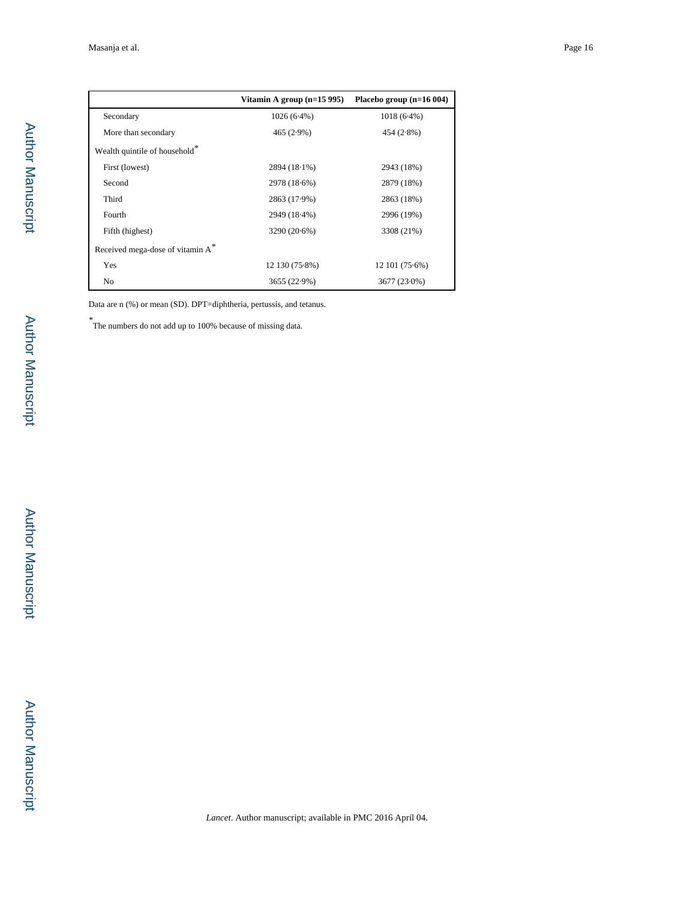|                                           | Vitamin A group $(n=15 995)$ | Placebo group $(n=16004)$ |
|-------------------------------------------|------------------------------|---------------------------|
| Secondary                                 | 1026 (6.4%)                  | $1018(6.4\%)$             |
| More than secondary                       | 465 (2.9%)                   | 454 (2.8%)                |
| Wealth quintile of household <sup>*</sup> |                              |                           |
| First (lowest)                            | $2894(18.1\%)$               | 2943 (18%)                |
| Second                                    | 2978 (18.6%)                 | 2879 (18%)                |
| Third                                     | 2863 (17.9%)                 | 2863 (18%)                |
| Fourth                                    | 2949 (18.4%)                 | 2996 (19%)                |
| Fifth (highest)                           | $3290(20.6\%)$               | 3308 (21%)                |
| Received mega-dose of vitamin A*          |                              |                           |
| Yes                                       | 12 130 (75.8%)               | 12101(75.6%)              |
| N <sub>o</sub>                            | 3655 (22.9%)                 | 3677 (23.0%)              |

Data are n (%) or mean (SD). DPT=diphtheria, pertussis, and tetanus.

*\** The numbers do not add up to 100% because of missing data.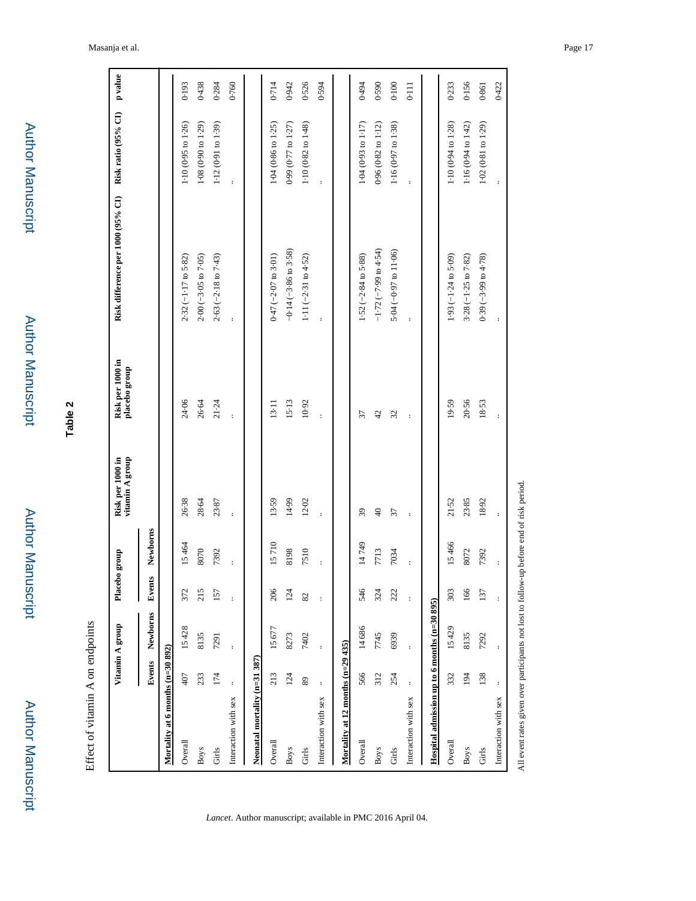| HULLIVI IVIAI IUSUIINI |  |
|------------------------|--|
|                        |  |
| NUMBER 1914            |  |

Author Manuscript

Author Manuscript

| N      |  |
|--------|--|
| Φ      |  |
| п      |  |
| ۵<br>⊢ |  |

Effect of vitamin A on endpoints Effect of vitamin A on endpoints

|                                                                                          |          | Vitamin A group | Placebo group  |                | vitamin A group<br>Risk per 1000 in | Risk per 1000 in<br>placebo group | Risk difference per 1000 (95% CI) | Risk ratio (95% CI)           | p value |
|------------------------------------------------------------------------------------------|----------|-----------------|----------------|----------------|-------------------------------------|-----------------------------------|-----------------------------------|-------------------------------|---------|
|                                                                                          | Events   | Newborns        | 3<br>Event     | Newborns       |                                     |                                   |                                   |                               |         |
| Mortality at 6 months (n=30 892)                                                         |          |                 |                |                |                                     |                                   |                                   |                               |         |
| Overall                                                                                  | 407      | 15428           | 372            | 15464          | 26.38                               | 24.06                             | $2.32(-1.17$ to $5.82$ )          | 1.10 (0.95 to 1.26)           | 0.193   |
| Boys                                                                                     | 233      | 8135            | 215            | 8070           | 28.64                               | 26.64                             | $2.00 (-3.05 \text{ to } 7.05)$   | 1.08(0.90 to 1.29)            | 0.438   |
| Girls                                                                                    | 174      | 7291            | 157            | 7392           | 23.87                               | 21.24                             | $2.63 (-2.18)$ to $7.43$ )        | 1.12(0.91 to 1.39)            | 0.284   |
| Interaction with sex                                                                     | $\colon$ | $\ddot{\cdot}$  | $\ddot{\cdot}$ | $\colon$       | $\colon$                            | $\ddot{\cdot}$                    |                                   |                               | 0.760   |
| Neonatal mortality (n=31 387)                                                            |          |                 |                |                |                                     |                                   |                                   |                               |         |
| Overall                                                                                  | 213      | 15677           | 206            | 15710          | 13.59                               | 13-11                             | $0.47 (-2.07$ to 3.01)            | 1.04 (0.86 to 1.25)           | 0.714   |
| Boys                                                                                     | 124      | 8273            | 124            | 8198           | 14.99                               | 15.13                             | $-0.14 (-3.86 \text{ to } 3.58)$  | 0.99 (0.77 to 1.27)           | 0.942   |
| Girls                                                                                    | 89       | 7402            | 82             | 7510           | 12.02                               | 10.92                             | 1.11 $(-2.31$ to $4.52)$          | $1.10(0.82 \text{ to } 1.48)$ | 0.526   |
| Interaction with sex                                                                     | $\colon$ |                 |                | $\vdots$       | $\colon$                            | $\ddot{\cdot}$                    |                                   |                               | 0.594   |
| Mortality at 12 months (n=29 435)                                                        |          |                 |                |                |                                     |                                   |                                   |                               |         |
| Overall                                                                                  | 566      | 14686           | 546            | 14749          | 39                                  | 57                                | $1.52 (-2.84 \text{ to } 5.88)$   | 1.04 (0.93 to 1.17)           | 0.494   |
| Boys                                                                                     | 312      | 7745            | 324            | 7713           | $\Theta$                            | 42                                | $-1.72$ ( $-7.99$ to $4.54$ )     | $0.96(0.82 \text{ to } 1.12)$ | 0.590   |
| Girls                                                                                    | 254      | 6939            | 222            | 7034           | 37                                  | $\mathfrak{L}$                    | 5.04 ( $-0.97$ to 11.06)          | 1.16(0.97 to 1.38)            | 0.100   |
| Interaction with sex                                                                     | $\vdots$ | $\vdots$        | $\ddot{\cdot}$ | $\ddot{\cdot}$ | $\ddot{\cdot}$                      | $\colon$                          | $\ddot{\cdot}$                    | $\ddot{\cdot}$                | 0.111   |
| Hospital admission up to 6 months $(n=30 895)$                                           |          |                 |                |                |                                     |                                   |                                   |                               |         |
| Overall                                                                                  | 332      | 15429           | 303            | 15466          | $21 - 52$                           | 19.59                             | 1.93 ( $-1.24$ to 5.09)           | $1.10(0.94 \text{ to } 1.28)$ | 0.233   |
| Boys                                                                                     | 194      | 8135            | 166            | 8072           | 23.85                               | 20.56                             | $3.28 (-1.25 to 7.82)$            | 1.16 $(0.94$ to 1.42)         | 0.156   |
| Girls                                                                                    | 138      | 7292            | 137            | 7392           | 18.92                               | 18.53                             | $(9.39 (-3.99 \text{ to } 4.78))$ | 1-02 (0-81 to 1-29)           | 0.861   |
| Interaction with sex                                                                     | $\colon$ | $\colon$        |                |                | $\colon$                            |                                   |                                   |                               | 0.422   |
| All event rates given over participants not lost to follow-up before end of risk period. |          |                 |                |                |                                     |                                   |                                   |                               |         |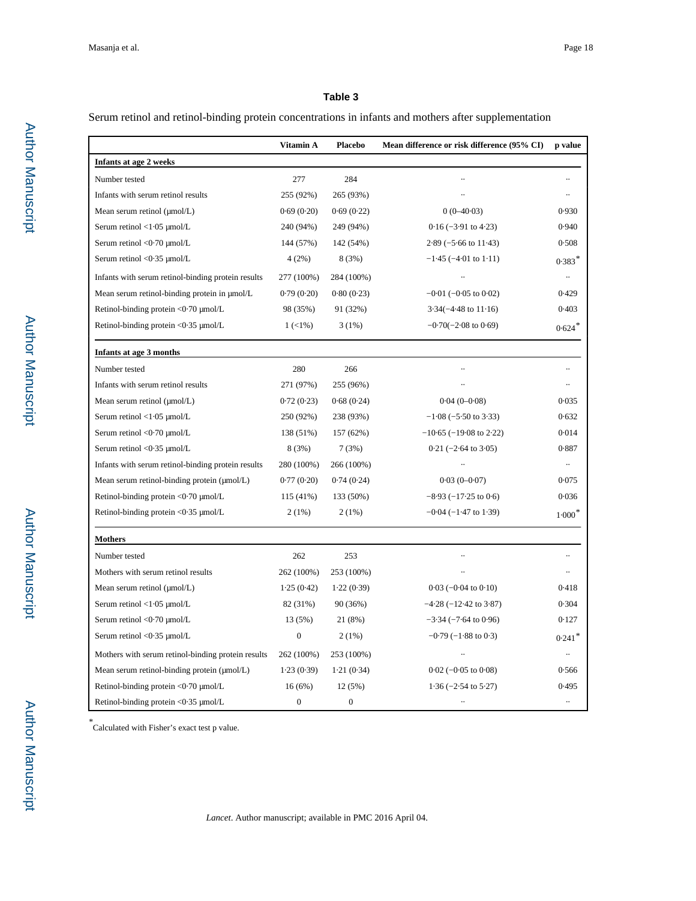## **Table 3**

Serum retinol and retinol-binding protein concentrations in infants and mothers after supplementation

|                                                                 | Vitamin A        | <b>Placebo</b> | Mean difference or risk difference (95% CI) | p value              |
|-----------------------------------------------------------------|------------------|----------------|---------------------------------------------|----------------------|
| Infants at age 2 weeks                                          |                  |                |                                             |                      |
| Number tested                                                   | 277              | 284            |                                             |                      |
| Infants with serum retinol results                              | 255 (92%)        | 265 (93%)      |                                             | $\ddot{\phantom{a}}$ |
| Mean serum retinol $(\mu \text{mol/L})$                         | 0.69(0.20)       | 0.69(0.22)     | $0(0-40.03)$                                | 0.930                |
| Serum retinol $<1.05$ µmol/L                                    | 240 (94%)        | 249 (94%)      | $0.16$ (-3.91 to 4.23)                      | 0.940                |
| Serum retinol $\langle 0.70 \text{ \mu}$ mol/L                  | 144 (57%)        | 142 (54%)      | $2.89$ ( $-5.66$ to 11.43)                  | 0.508                |
| Serum retinol $< 0.35$ µmol/L                                   | 4(2%)            | 8(3%)          | $-1.45$ ( $-4.01$ to $1.11$ )               | $0.383*$             |
| Infants with serum retinol-binding protein results              | 277 (100%)       | 284 (100%)     |                                             |                      |
| Mean serum retinol-binding protein in $\mu$ mol/L               | 0.79(0.20)       | 0.80(0.23)     | $-0.01$ ( $-0.05$ to $0.02$ )               | 0.429                |
| Retinol-binding protein $\langle 0.70 \mu m o L \rangle$        | 98 (35%)         | 91 (32%)       | $3.34(-4.48 \text{ to } 11.16)$             | 0.403                |
| Retinol-binding protein $< 0.35 \mu$ mol/L                      | $1(1\%)$         | 3(1%)          | $-0.70(-2.08 \text{ to } 0.69)$             | 0.624                |
| Infants at age 3 months                                         |                  |                |                                             |                      |
| Number tested                                                   | 280              | 266            | $\ddot{\phantom{a}}$                        |                      |
| Infants with serum retinol results                              | 271 (97%)        | 255 (96%)      |                                             | $\ddot{\phantom{a}}$ |
| Mean serum retinol $(\mu \text{mol/L})$                         | 0.72(0.23)       | 0.68(0.24)     | $0.04(0-0.08)$                              | 0.035                |
| Serum retinol $<$ 1.05 µmol/L                                   | 250 (92%)        | 238 (93%)      | $-1.08$ ( $-5.50$ to 3.33)                  | 0.632                |
| Serum retinol $< 0.70$ µmol/L                                   | 138 (51%)        | 157 (62%)      | $-10.65$ ( $-19.08$ to 2.22)                | 0.014                |
| Serum retinol $\langle 0.35 \text{ \mu} \text{mol/L}$           | 8(3%)            | 7(3%)          | $0.21$ (-2.64 to 3.05)                      | 0.887                |
| Infants with serum retinol-binding protein results              | 280 (100%)       | 266 (100%)     |                                             | $\ddotsc$            |
| Mean serum retinol-binding protein (µmol/L)                     | 0.77(0.20)       | 0.74(0.24)     | $0.03(0-0.07)$                              | 0.075                |
| Retinol-binding protein $\langle 0.70 \mu m o L \rangle$        | 115 (41%)        | 133 (50%)      | $-8.93$ ( $-17.25$ to 0.6)                  | 0.036                |
| Retinol-binding protein $< 0.35 \mu$ mol/L                      | $2(1\%)$         | 2(1%)          | $-0.04$ ( $-1.47$ to 1.39)                  | $1.000*$             |
| <b>Mothers</b>                                                  |                  |                |                                             |                      |
| Number tested                                                   | 262              | 253            |                                             |                      |
| Mothers with serum retinol results                              | 262 (100%)       | 253 (100%)     |                                             | $\ddotsc$            |
| Mean serum retinol (µmol/L)                                     | 1.25(0.42)       | 1.22(0.39)     | $0.03$ (-0.04 to 0.10)                      | 0.418                |
| Serum retinol $<1.05$ µmol/L                                    | 82 (31%)         | 90 (36%)       | $-4.28$ ( $-12.42$ to 3.87)                 | 0.304                |
| Serum retinol $\langle 0.70 \text{ \mu}$ mol/L                  | 13 (5%)          | 21 (8%)        | $-3.34$ ( $-7.64$ to 0.96)                  | 0.127                |
| Serum retinol $< 0.35$ µmol/L                                   | $\boldsymbol{0}$ | 2(1%)          | $-0.79$ ( $-1.88$ to 0.3)                   | $0.241$ <sup>*</sup> |
| Mothers with serum retinol-binding protein results              | 262 (100%)       | 253 (100%)     |                                             | $\ddot{\phantom{a}}$ |
| Mean serum retinol-binding protein (µmol/L)                     | 1.23(0.39)       | 1.21(0.34)     | $0.02$ (-0.05 to 0.08)                      | 0.566                |
| Retinol-binding protein $\langle 0.70 \mu m o L \rangle$        | 16(6%)           | 12 (5%)        | $1.36 (-2.54 \text{ to } 5.27)$             | 0.495                |
| Retinol-binding protein $\langle 0.35 \text{ \mu} \text{mol/L}$ | $\boldsymbol{0}$ | $\mathbf{0}$   | $\ddotsc$                                   | $\ddot{\phantom{a}}$ |

*\** Calculated with Fisher's exact test p value.